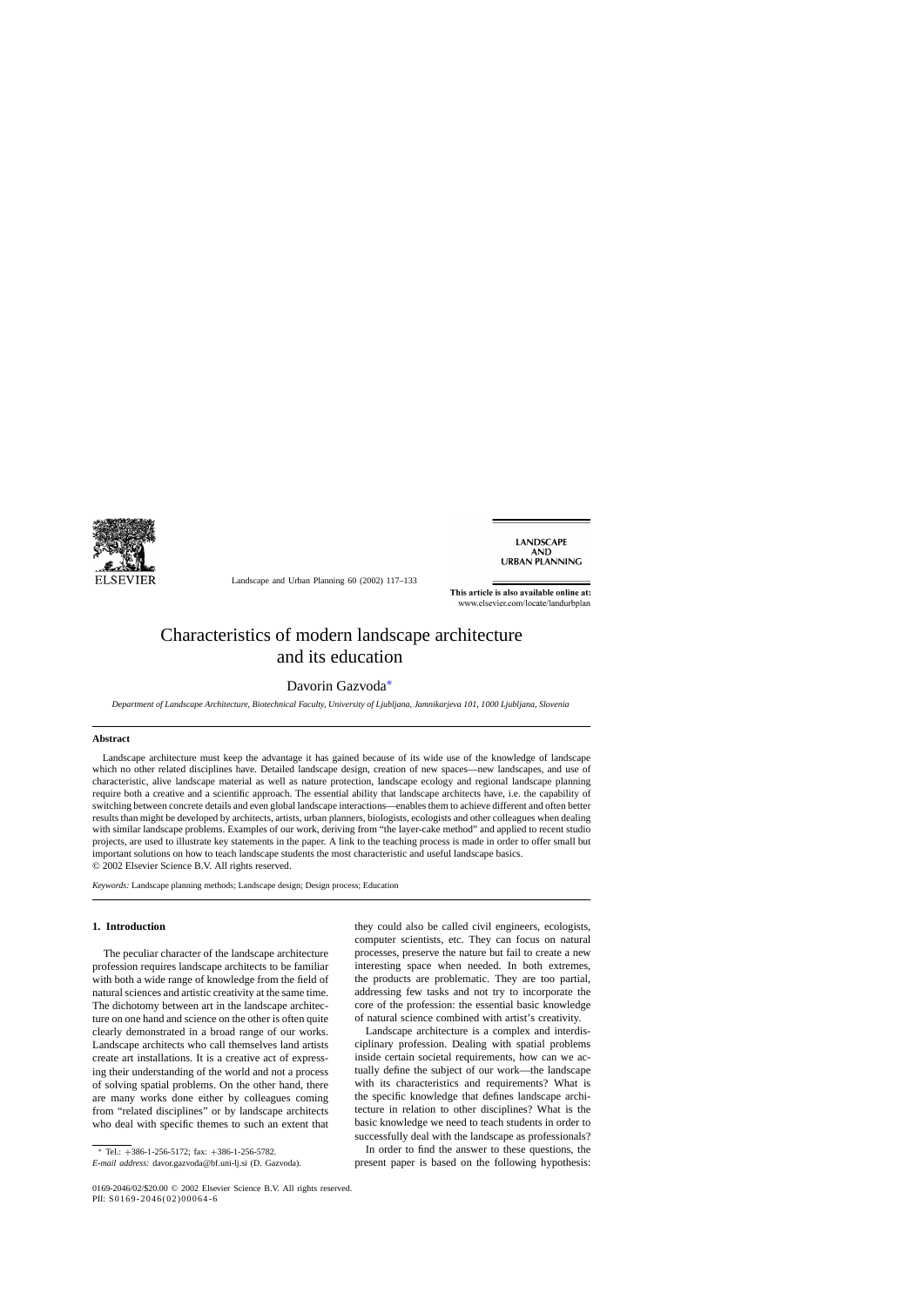

Landscape and Urban Planning 60 (2002) 117–133

**LANDSCAPE AND URBAN PLANNING** 

This article is also available online at: www.elsevier.com/locate/landurbplan

# Characteristics of modern landscape architecture and its education

### Davorin Gazvoda∗

*Department of Landscape Architecture, Biotechnical Faculty, University of Ljubljana, Jamnikarjeva 101, 1000 Ljubljana, Slovenia*

#### **Abstract**

Landscape architecture must keep the advantage it has gained because of its wide use of the knowledge of landscape which no other related disciplines have. Detailed landscape design, creation of new spaces—new landscapes, and use of characteristic, alive landscape material as well as nature protection, landscape ecology and regional landscape planning require both a creative and a scientific approach. The essential ability that landscape architects have, i.e. the capability of switching between concrete details and even global landscape interactions—enables them to achieve different and often better results than might be developed by architects, artists, urban planners, biologists, ecologists and other colleagues when dealing with similar landscape problems. Examples of our work, deriving from "the layer-cake method" and applied to recent studio projects, are used to illustrate key statements in the paper. A link to the teaching process is made in order to offer small but important solutions on how to teach landscape students the most characteristic and useful landscape basics. © 2002 Elsevier Science B.V. All rights reserved.

*Keywords:* Landscape planning methods; Landscape design; Design process; Education

### **1. Introduction**

The peculiar character of the landscape architecture profession requires landscape architects to be familiar with both a wide range of knowledge from the field of natural sciences and artistic creativity at the same time. The dichotomy between art in the landscape architecture on one hand and science on the other is often quite clearly demonstrated in a broad range of our works. Landscape architects who call themselves land artists create art installations. It is a creative act of expressing their understanding of the world and not a process of solving spatial problems. On the other hand, there are many works done either by colleagues coming from "related disciplines" or by landscape architects who deal with specific themes to such an extent that

<sup>∗</sup> Tel.: +386-1-256-5172; fax: +386-1-256-5782.

they could also be called civil engineers, ecologists, computer scientists, etc. They can focus on natural processes, preserve the nature but fail to create a new interesting space when needed. In both extremes, the products are problematic. They are too partial, addressing few tasks and not try to incorporate the core of the profession: the essential basic knowledge of natural science combined with artist's creativity.

Landscape architecture is a complex and interdisciplinary profession. Dealing with spatial problems inside certain societal requirements, how can we actually define the subject of our work—the landscape with its characteristics and requirements? What is the specific knowledge that defines landscape architecture in relation to other disciplines? What is the basic knowledge we need to teach students in order to successfully deal with the landscape as professionals?

In order to find the answer to these questions, the present paper is based on the following hypothesis:

*E-mail address:* davor.gazvoda@bf.uni-lj.si (D. Gazvoda).

<sup>0169-2046/02/\$20.00 © 2002</sup> Elsevier Science B.V. All rights reserved. PII: S0169-2046(02)00064-6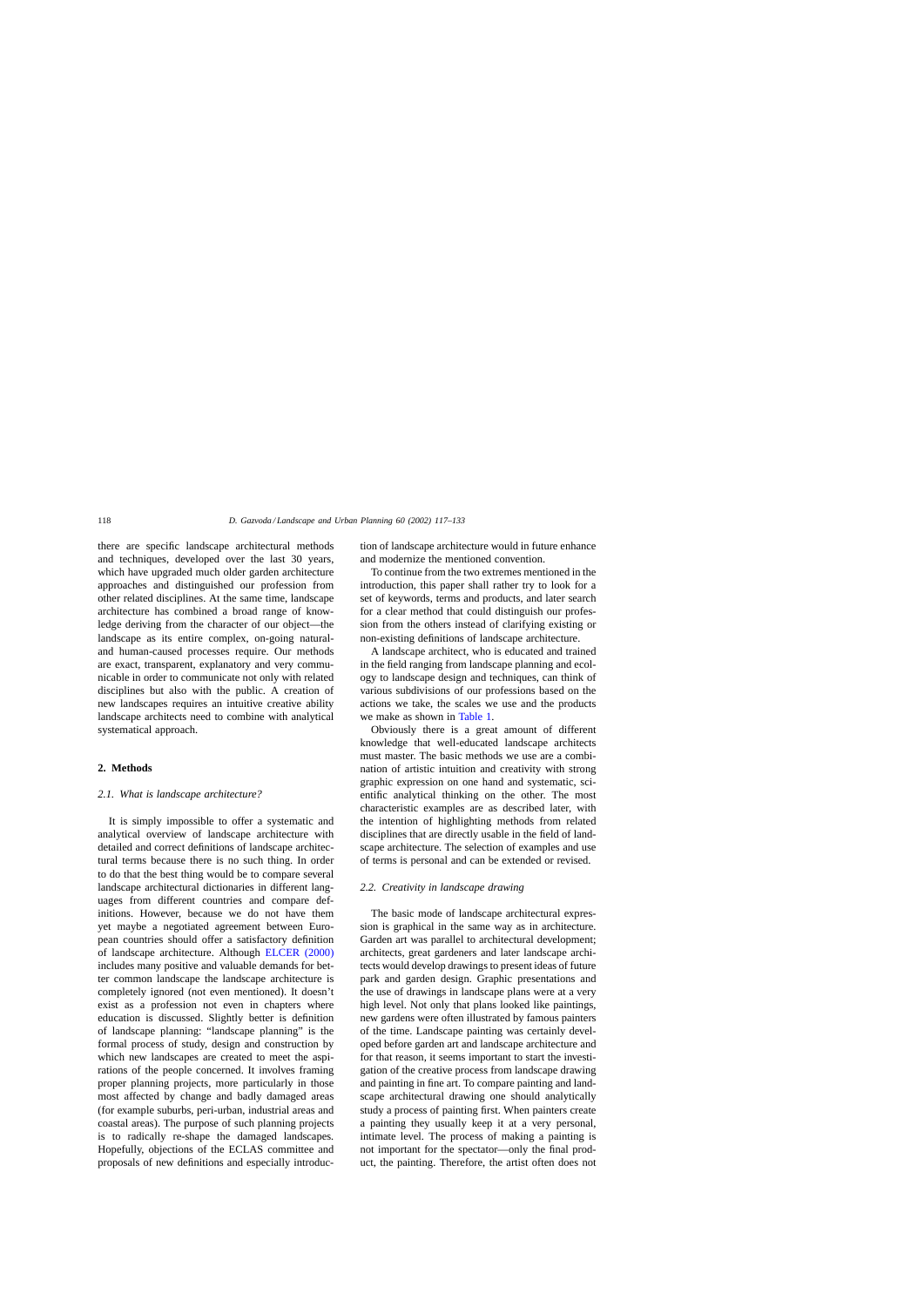there are specific landscape architectural methods and techniques, developed over the last 30 years, which have upgraded much older garden architecture approaches and distinguished our profession from other related disciplines. At the same time, landscape architecture has combined a broad range of knowledge deriving from the character of our object—the landscape as its entire complex, on-going naturaland human-caused processes require. Our methods are exact, transparent, explanatory and very communicable in order to communicate not only with related disciplines but also with the public. A creation of new landscapes requires an intuitive creative ability landscape architects need to combine with analytical systematical approach.

#### **2. Methods**

#### *2.1. What is landscape architecture?*

It is simply impossible to offer a systematic and analytical overview of landscape architecture with detailed and correct definitions of landscape architectural terms because there is no such thing. In order to do that the best thing would be to compare several landscape architectural dictionaries in different languages from different countries and compare definitions. However, because we do not have them yet maybe a negotiated agreement between European countries should offer a satisfactory definition of landscape architecture. Although [ELCER \(2000\)](#page--1-0) includes many positive and valuable demands for better common landscape the landscape architecture is completely ignored (not even mentioned). It doesn't exist as a profession not even in chapters where education is discussed. Slightly better is definition of landscape planning: "landscape planning" is the formal process of study, design and construction by which new landscapes are created to meet the aspirations of the people concerned. It involves framing proper planning projects, more particularly in those most affected by change and badly damaged areas (for example suburbs, peri-urban, industrial areas and coastal areas). The purpose of such planning projects is to radically re-shape the damaged landscapes*.* Hopefully, objections of the ECLAS committee and proposals of new definitions and especially introduction of landscape architecture would in future enhance and modernize the mentioned convention.

To continue from the two extremes mentioned in the introduction, this paper shall rather try to look for a set of keywords, terms and products, and later search for a clear method that could distinguish our profession from the others instead of clarifying existing or non-existing definitions of landscape architecture.

A landscape architect, who is educated and trained in the field ranging from landscape planning and ecology to landscape design and techniques, can think of various subdivisions of our professions based on the actions we take, the scales we use and the products we make as shown in [Table 1.](#page--1-0)

Obviously there is a great amount of different knowledge that well-educated landscape architects must master. The basic methods we use are a combination of artistic intuition and creativity with strong graphic expression on one hand and systematic, scientific analytical thinking on the other. The most characteristic examples are as described later, with the intention of highlighting methods from related disciplines that are directly usable in the field of landscape architecture. The selection of examples and use of terms is personal and can be extended or revised.

#### *2.2. Creativity in landscape drawing*

The basic mode of landscape architectural expression is graphical in the same way as in architecture. Garden art was parallel to architectural development; architects, great gardeners and later landscape architects would develop drawings to present ideas of future park and garden design. Graphic presentations and the use of drawings in landscape plans were at a very high level. Not only that plans looked like paintings, new gardens were often illustrated by famous painters of the time. Landscape painting was certainly developed before garden art and landscape architecture and for that reason, it seems important to start the investigation of the creative process from landscape drawing and painting in fine art. To compare painting and landscape architectural drawing one should analytically study a process of painting first. When painters create a painting they usually keep it at a very personal, intimate level. The process of making a painting is not important for the spectator—only the final product, the painting. Therefore, the artist often does not